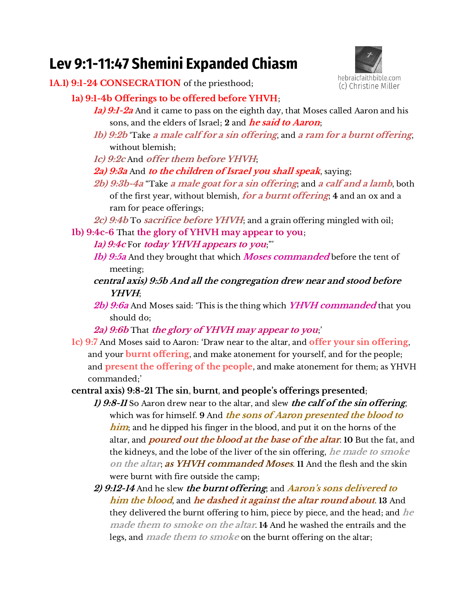# **Lev 9:1-11:47 Shemini Expanded Chiasm**



- **1A.1) 9:1-24 CONSECRATION** of the priesthood;
	- **1a) 9:1-4b Offerings to be offered before YHVH**;
		- **1a) 9:1-2a** And it came to pass on the eighth day, that Moses called Aaron and his sons, and the elders of Israel; **2** and **he said to Aaron**;
		- **1b) 9:2b** 'Take **a male calf for a sin offering**, and **a ram for a burnt offering**, without blemish;
		- **1c) 9:2c** And **offer them before YHVH**;
		- **2a) 9:3a** And **to the children of Israel you shall speak**, saying;
		- **2b) 9:3b-4a** "Take **a male goat for a sin offering**; and **a calf and a lamb**, both of the first year, without blemish, **for a burnt offering**; **4** and an ox and a ram for peace offerings;
		- **2c) 9:4b** To **sacrifice before YHVH**; and a grain offering mingled with oil;
	- **1b) 9:4c-6** That **the glory of YHVH may appear to you**;
		- **1a) 9:4c** For **today YHVH appears to you**;"'
		- **1b) 9:5a** And they brought that which **Moses commanded** before the tent of meeting;
		- **central axis) 9:5b And all the congregation drew near and stood before YHVH**;
		- **2b) 9:6a** And Moses said: 'This is the thing which **YHVH commanded** that you should do;
		- **2a) 9:6b** That **the glory of YHVH may appear to you**;'
	- **1c) 9:7** And Moses said to Aaron: 'Draw near to the altar, and **offer your sin offering**, and your **burnt offering**, and make atonement for yourself, and for the people; and **present the offering of the people**, and make atonement for them; as YHVH commanded;'
	- **central axis) 9:8-21 The sin**, **burnt**, **and people's offerings presented**;
		- **1) 9:8-11** So Aaron drew near to the altar, and slew **the calf of the sin offering**, which was for himself. **9** And **the sons of Aaron presented the blood to him**; and he dipped his finger in the blood, and put it on the horns of the altar, and **poured out the blood at the base of the altar**. **10** But the fat, and the kidneys, and the lobe of the liver of the sin offering, **he made to smoke on the altar**; **as YHVH commanded Moses**. **11** And the flesh and the skin were burnt with fire outside the camp;
		- **2) 9:12-14** And he slew **the burnt offering**; and *Aaron's sons delivered to* **him the blood**, and **he dashed it against the altar round about**. **13** And they delivered the burnt offering to him, piece by piece, and the head; and **he made them to smoke on the altar**. **14** And he washed the entrails and the legs, and **made them to smoke** on the burnt offering on the altar;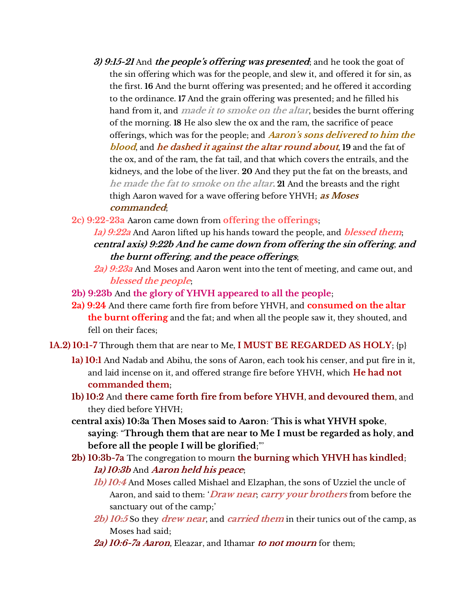- **3) 9:15-21** And **the people's offering vas presenteq**; and he took the goat of the sin offering which was for the people, and slew it, and offered it for sin, as the first. **16** And the burnt offering was presented; and he offered it according to the ordinance. **17** And the grain offering was presented; and he filled his hand from it, and **made it to smoke on the altar**, besides the burnt offering of the morning. **18** He also slew the ox and the ram, the sacrifice of peace offerings, which was for the people; and *Aaron's sons delivered to him the* **blood**, and **he dashed it against the altar round about**, **19** and the fat of the ox, and of the ram, the fat tail, and that which covers the entrails, and the kidneys, and the lobe of the liver. **20** And they put the fat on the breasts, and **he made the fat to smoke on the altar**. **21** And the breasts and the right thigh Aaron waved for a wave offering before YHVH; **as Moses commanded**;
- **2c) 9:22-23a** Aaron came down from **offering the offerings**;
	- **1a) 9:22a** And Aaron lifted up his hands toward the people, and **blessed them**; **central axis) 9:22b And he came down from offering the sin offering**, **and the burnt offering**, **and the peace offerings**;
		- **2a) 9:23a** And Moses and Aaron went into the tent of meeting, and came out, and **blessed the people**;
- **2b) 9:23b** And **the glory of YHVH appeared to all the people**;
- **2a) 9:24** And there came forth fire from before YHVH, and **consumed on the altar the burnt offering** and the fat; and when all the people saw it, they shouted, and fell on their faces;
- **1A.2) 10:1-7** Through them that are near to Me, **I MUST BE REGARDED AS HOLY**; {p}
	- **1a) 10:1** And Nadab and Abihu, the sons of Aaron, each took his censer, and put fire in it, and laid incense on it, and offered strange fire before YHVH, which **He had not commanded them**;
	- **1b) 10:2** And **there came forth fire from before YHVH**, **and devoured them**, and they died before YHVH;
	- **central axis) 10:3a Then Moses said to Aaron**: '**This is what YHVH spoke**, **saying**: "**Through them that are near to Me I must be regarded as holy**, **and before all the people I will be glorified**;"'
	- **2b) 10:3b-7a** The congregation to mourn **the burning which YHVH has kindled**; **1a) 10:3b** And **Aaron held his peace**;
		- **1b) 10:4** And Moses called Mishael and Elzaphan, the sons of Uzziel the uncle of Aaron, and said to them: '**Draw near**; **carry your brothers** from before the sanctuary out of the camp;'
		- **2b) 10:5** So they **drew near**, and **carried them** in their tunics out of the camp, as Moses had said;
		- **2a) 10:6-7a Aaron**, Eleazar, and Ithamar **to not mourn** for them;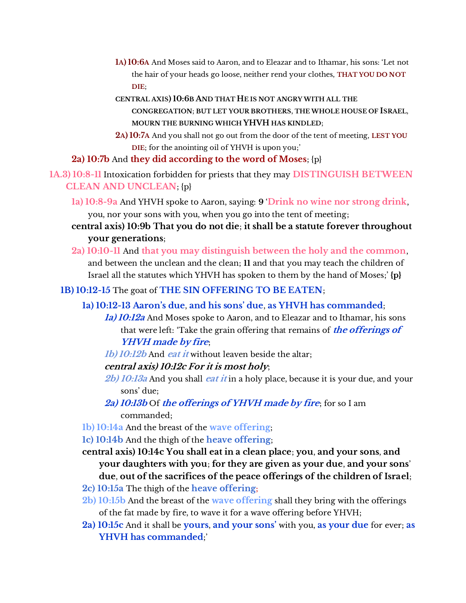- **1A) 10:6A** And Moses said to Aaron, and to Eleazar and to Ithamar, his sons: 'Let not the hair of your heads go loose, neither rend your clothes, **THAT YOU DO NOT DIE**;
- **CENTRAL AXIS) 10:6B AND THAT HE IS NOT ANGRY WITH ALL THE CONGREGATION**; **BUT LET YOUR BROTHERS**, **THE WHOLE HOUSE OF ISRAEL**, **MOURN THE BURNING WHICH YHVH HAS KINDLED**;
- **2A) 10:7A** And you shall not go out from the door of the tent of meeting, **LEST YOU DIE**; for the anointing oil of YHVH is upon you;'

## **2a) 10:7b** And **they did according to the word of Moses**; {p}

**1A.3) 10:8-11** Intoxication forbidden for priests that they may **DISTINGUISH BETWEEN CLEAN AND UNCLEAN**; {p}

- **1a) 10:8-9a** And YHVH spoke to Aaron, saying: **9** '**Drink no wine nor strong drink**, you, nor your sons with you, when you go into the tent of meeting;
- **central axis) 10:9b That you do not die**; **it shall be a statute forever throughout your generations**;
- **2a) 10:10-11** And **that you may distinguish between the holy and the common**, and between the unclean and the clean; **11** and that you may teach the children of Israel all the statutes which YHVH has spoken to them by the hand of Moses;' **{p}**

## **1B) 10:12-15** The goat of **THE SIN OFFERING TO BE EATEN**;

- **1a) 10:12-13 Aaron's que**, **anq his sons' que**, **as YHVH has commanded**;
	- **1a) 10:12a** And Moses spoke to Aaron, and to Eleazar and to Ithamar, his sons that were left: 'Take the grain offering that remains of **the offerings of YHVH made by fire**;
	- **1b) 10:12b** And **eat it** without leaven beside the altar;

## **central axis) 10:12c For it is most holy**;

- **2b) 10:13a** And you shall **eat it** in a holy place, because it is your due, and your sons' due;
- **2a) 10:13b** Of **the offerings of YHVH made by fire**; for so I am commanded;
- **1b) 10:14a** And the breast of the **wave offering**;
- **1c) 10:14b** And the thigh of the **heave offering**;
- **central axis) 10:14c You shall eat in a clean place**; **you**, **and your sons**, **and your daughters with you**; **for they are given as your due**, **and your sons**' **due**, **out of the sacrifices of the peace offerings of the children of Israel**;
- **2c) 10:15a** The thigh of the **heave offering**;
- **2b) 10:15b** And the breast of the **wave offering** shall they bring with the offerings of the fat made by fire, to wave it for a wave offering before YHVH;
- **2a) 10:15c** And it shall be **yours**, **anq your sons'** with you, **as your due** for ever; **as YHVH has commanded**;'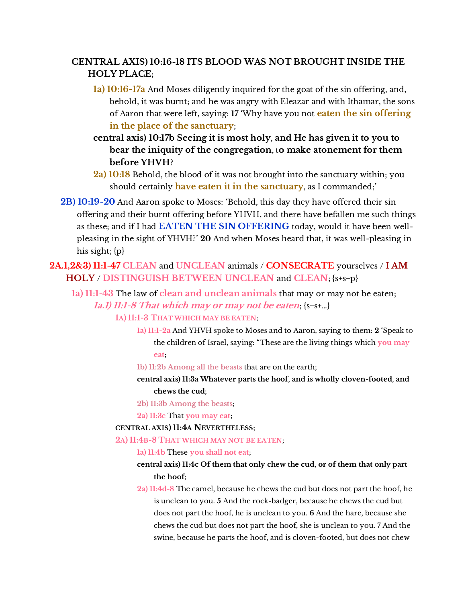# **CENTRAL AXIS) 10:16-18 ITS BLOOD WAS NOT BROUGHT INSIDE THE HOLY PLACE;**

- **1a) 10:16-17a** And Moses diligently inquired for the goat of the sin offering, and, behold, it was burnt; and he was angry with Eleazar and with Ithamar, the sons of Aaron that were left, saying: **17** 'Why have you not **eaten the sin offering in the place of the sanctuary**;
- **central axis) 10:17b Seeing it is most holy**, **and He has given it to you to bear the iniquity of the congregation**, t**o make atonement for them before YHVH**?
- **2a) 10:18** Behold, the blood of it was not brought into the sanctuary within; you should certainly **have eaten it in the sanctuary**, as I commanded;'
- **2B) 10:19-20** And Aaron spoke to Moses: 'Behold, this day they have offered their sin offering and their burnt offering before YHVH, and there have befallen me such things as these; and if I had **EATEN THE SIN OFFERING** today, would it have been wellpleasing in the sight of YHVH?' **20** And when Moses heard that, it was well-pleasing in his sight; {p}

**2A.1,2&3) 11:1-47 CLEAN** and **UNCLEAN** animals / **CONSECRATE** yourselves / **I AM HOLY** / **DISTINGUISH BETWEEN UNCLEAN** and **CLEAN**; {s+s+p}

**1a) 11:1-43** The law of **clean and unclean animals** that may or may not be eaten; **1a.1) 11:1-8 That which may or may not be eaten**; {s+s+…}

#### **1A) 11:1-3 THAT WHICH MAY BE EATEN**;

- **1a) 11:1-2a** And YHVH spoke to Moses and to Aaron, saying to them: **2** 'Speak to the children of Israel, saying: "These are the living things which **you may eat**;
- **1b) 11:2b Among all the beasts** that are on the earth;
- **central axis) 11:3a Whatever parts the hoof**, **and is wholly cloven-footed**, **and chews the cud**;
- **2b) 11:3b Among the beasts**;
- **2a) 11:3c** That **you may eat**;

### **CENTRAL AXIS) 11:4A NEVERTHELESS**;

**2A) 11:4B-8 THAT WHICH MAY NOT BE EATEN**;

**1a) 11:4b** These **you shall not eat**;

- **central axis) 11:4c Of them that only chew the cud**, **or of them that only part the hoof**;
- **2a) 11:4d-8** The camel, because he chews the cud but does not part the hoof, he is unclean to you. **5** And the rock-badger, because he chews the cud but does not part the hoof, he is unclean to you. **6** And the hare, because she chews the cud but does not part the hoof, she is unclean to you. 7 And the swine, because he parts the hoof, and is cloven-footed, but does not chew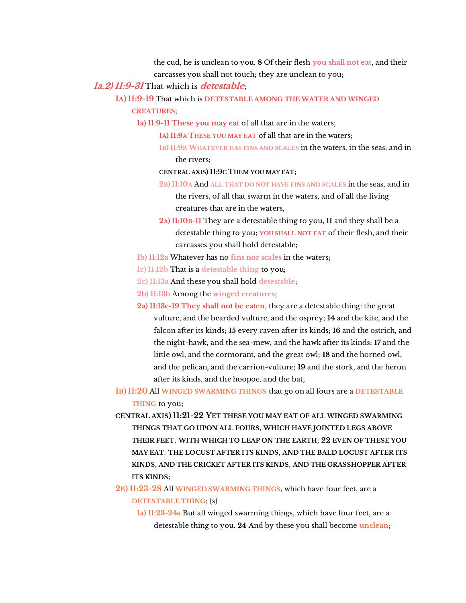the cud, he is unclean to you. **8** Of their flesh **you shall not eat**, and their

carcasses you shall not touch; they are unclean to you;

**1a.2) 11:9-31** That which is **detestable**;

**1A) 11:9-19** That which is **DETESTABLE AMONG THE WATER AND WINGED CREATURES**;

- **1a) 11:9-11 These you may eat** of all that are in the waters;
	- **1A) 11:9A THESE YOU MAY EAT** of all that are in the waters;
	- **1B) 11:9B WHATEVER HAS FINS AND SCALES** in the waters, in the seas, and in the rivers;
	- **CENTRAL AXIS) 11:9C THEM YOU MAY EAT**;
	- **2B) 11:10A** And **ALL THAT DO NOT HAVE FINS AND SCALES** in the seas, and in the rivers, of all that swarm in the waters, and of all the living creatures that are in the waters,
	- **2A) 11:10B-11** They are a detestable thing to you, **11** and they shall be a detestable thing to you; **YOU SHALL NOT EAT** of their flesh, and their carcasses you shall hold detestable;
- **1b) 11:12a** Whatever has no **fins nor scales** in the waters;
- **1c) 11:12b** That is a **detestable thing** to you;
- **2c) 11:13a** And these you shall hold **detestable**;
- **2b) 11:13b** Among the **winged creatures**;
- **2a) 11:13c-19 They shall not be eaten**, they are a detestable thing: the great vulture, and the bearded vulture, and the osprey; **14** and the kite, and the falcon after its kinds; **15** every raven after its kinds; **16** and the ostrich, and the night-hawk, and the sea-mew, and the hawk after its kinds; **17** and the little owl, and the cormorant, and the great owl; **18** and the horned owl, and the pelican, and the carrion-vulture; **19** and the stork, and the heron after its kinds, and the hoopoe, and the bat;
- **1B) 11:20** All **WINGED SWARMING THINGS** that go on all fours are a **DETESTABLE THING** to you;
- **CENTRAL AXIS) 11:21-22 YET THESE YOU MAY EAT OF ALL WINGED SWARMING THINGS THAT GO UPON ALL FOURS**, **WHICH HAVE JOINTED LEGS ABOVE THEIR FEET**, **WITH WHICH TO LEAP ON THE EARTH**; **22 EVEN OF THESE YOU MAY EAT**: **THE LOCUST AFTER ITS KINDS**, **AND THE BALD LOCUST AFTER ITS KINDS**, **AND THE CRICKET AFTER ITS KINDS**, **AND THE GRASSHOPPER AFTER ITS KINDS**;
- **2B) 11:23-28** All **WINGED SWARMING THINGS**, which have four feet, are a **DETESTABLE THING**; {s}
	- **1a) 11:23-24a** But all winged swarming things, which have four feet, are a detestable thing to you. **24** And by these you shall become **unclean**;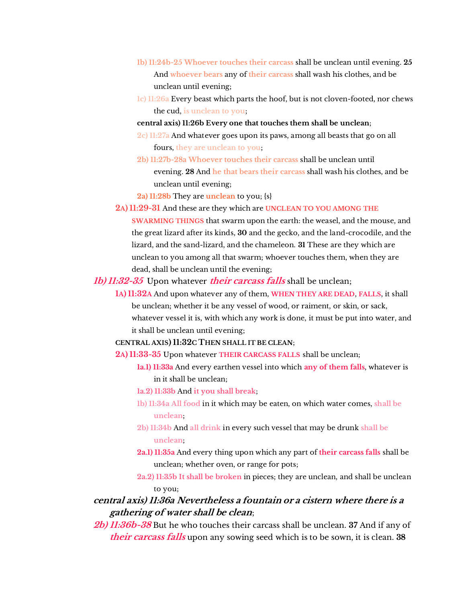- **1b) 11:24b-25 Whoever touches their carcass** shall be unclean until evening. **25** And **whoever bears** any of **their carcass** shall wash his clothes, and be unclean until evening;
- **1c) 11:26a** Every beast which parts the hoof, but is not cloven-footed, nor chews the cud, **is unclean to you**;
- **central axis) 11:26b Every one that touches them shall be unclean**;
- **2c) 11:27a** And whatever goes upon its paws, among all beasts that go on all fours, **they are unclean to you**;
- **2b) 11:27b-28a Whoever touches their carcass** shall be unclean until evening. **28** And **he that bears their carcass** shall wash his clothes, and be unclean until evening;
- **2a) 11:28b** They are **unclean** to you; {s}
- **2A) 11:29-31** And these are they which are **UNCLEAN TO YOU AMONG THE SWARMING THINGS** that swarm upon the earth: the weasel, and the mouse, and the great lizard after its kinds, **30** and the gecko, and the land-crocodile, and the lizard, and the sand-lizard, and the chameleon. **31** These are they which are
	- unclean to you among all that swarm; whoever touches them, when they are dead, shall be unclean until the evening;

#### **1b) 11:32-35** Upon whatever **their carcass falls** shall be unclean;

- **1A) 11:32A** And upon whatever any of them, **WHEN THEY ARE DEAD**, **FALLS**, it shall be unclean; whether it be any vessel of wood, or raiment, or skin, or sack, whatever vessel it is, with which any work is done, it must be put into water, and it shall be unclean until evening;
- **CENTRAL AXIS) 11:32C THEN SHALL IT BE CLEAN**;
- **2A) 11:33-35** Upon whatever **THEIR CARCASS FALLS** shall be unclean;
	- **1a.1) 11:33a** And every earthen vessel into which **any of them falls**, whatever is in it shall be unclean;
	- **1a.2) 11:33b** And **it you shall break**;
	- **1b) 11:34a All food** in it which may be eaten, on which water comes, **shall be unclean**;
	- **2b) 11:34b** And **all drink** in every such vessel that may be drunk **shall be unclean**;
	- **2a.1) 11:35a** And every thing upon which any part of **their carcass falls** shall be unclean; whether oven, or range for pots;
	- **2a.2) 11:35b It shall be broken** in pieces; they are unclean, and shall be unclean to you;

# **central axis) 11:36a Nevertheless a fountain or a cistern where there is <sup>a</sup> gathering of water shall be clean**;

**2b) 11:36b-38** But he who touches their carcass shall be unclean. **37** And if any of **their carcass falls** upon any sowing seed which is to be sown, it is clean. **38**